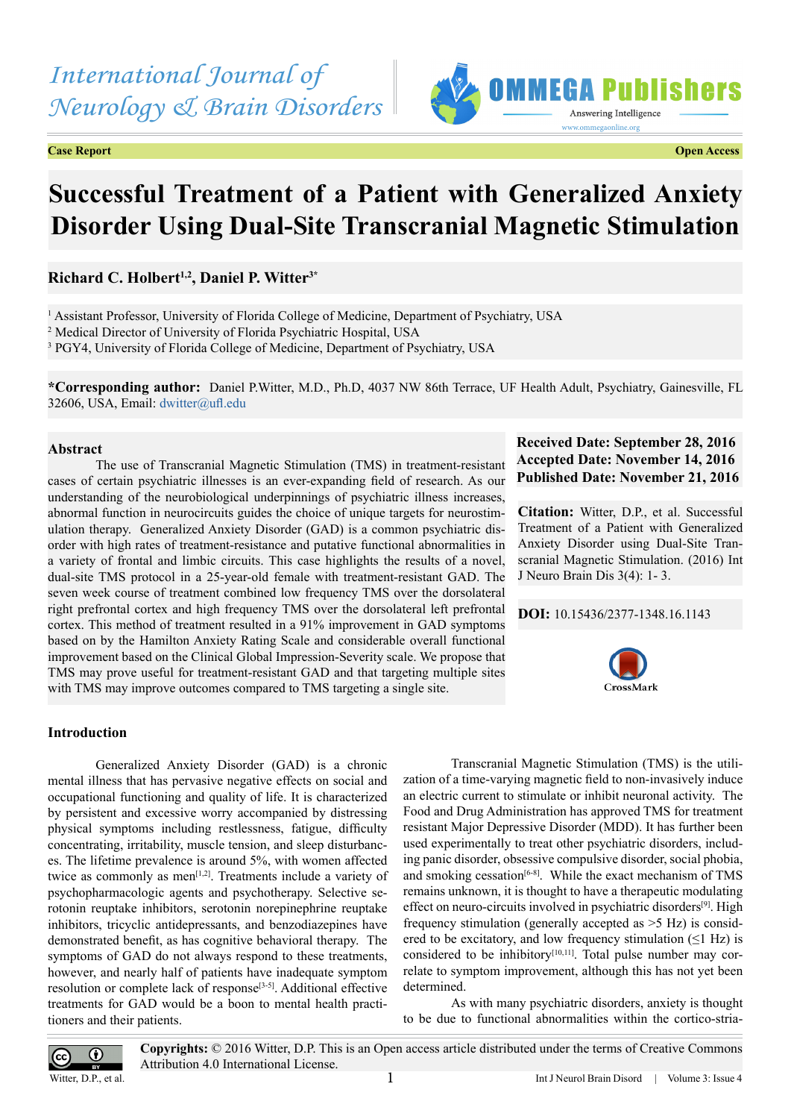# *International Journal of Neurology & Brain Disorders*

**Case Report Open Access**



# **Successful Treatment of a Patient with Generalized Anxiety Disorder Using Dual-Site Transcranial Magnetic Stimulation**

# **Richard C. Holbert1,2, Daniel P. Witter3\***

<sup>1</sup> Assistant Professor, University of Florida College of Medicine, Department of Psychiatry, USA 2 Medical Director of University of Florida Psychiatric Hospital, USA

<sup>3</sup> PGY4, University of Florida College of Medicine, Department of Psychiatry, USA

**\*Corresponding author:** Daniel P.Witter, M.D., Ph.D, 4037 NW 86th Terrace, UF Health Adult, Psychiatry, Gainesville, FL 32606, USA, Email: [dwitter@ufl.edu](mailto:dwitter@ufl.edu)

## **Abstract**

The use of Transcranial Magnetic Stimulation (TMS) in treatment-resistant cases of certain psychiatric illnesses is an ever-expanding field of research. As our understanding of the neurobiological underpinnings of psychiatric illness increases, abnormal function in neurocircuits guides the choice of unique targets for neurostimulation therapy. Generalized Anxiety Disorder (GAD) is a common psychiatric disorder with high rates of treatment-resistance and putative functional abnormalities in a variety of frontal and limbic circuits. This case highlights the results of a novel, dual-site TMS protocol in a 25-year-old female with treatment-resistant GAD. The seven week course of treatment combined low frequency TMS over the dorsolateral right prefrontal cortex and high frequency TMS over the dorsolateral left prefrontal cortex. This method of treatment resulted in a 91% improvement in GAD symptoms based on by the Hamilton Anxiety Rating Scale and considerable overall functional improvement based on the Clinical Global Impression-Severity scale. We propose that TMS may prove useful for treatment-resistant GAD and that targeting multiple sites with TMS may improve outcomes compared to TMS targeting a single site.

## **Received Date: September 28, 2016 Accepted Date: November 14, 2016 Published Date: November 21, 2016**

**Citation:** Witter, D.P., et al. Successful Treatment of a Patient with Generalized Anxiety Disorder using Dual-Site Transcranial Magnetic Stimulation. (2016) Int J Neuro Brain Dis 3(4): 1- 3.

## **DOI:** [10.15436/2377-1348.16.114](http://www.dx.doi.org/10.15436/2377-1348.16.1143
)3



## **Introduction**

Generalized Anxiety Disorder (GAD) is a chronic mental illness that has pervasive negative effects on social and occupational functioning and quality of life. It is characterized by persistent and excessive worry accompanied by distressing physical symptoms including restlessness, fatigue, difficulty concentrating, irritability, muscle tension, and sleep disturbances. The lifetime prevalence is around 5%, with women affected twice as commonly as men<sup>[\[1,2\]](#page-2-0)</sup>. Treatments include a variety of psychopharmacologic agents and psychotherapy. Selective serotonin reuptake inhibitors, serotonin norepinephrine reuptake inhibitors, tricyclic antidepressants, and benzodiazepines have demonstrated benefit, as has cognitive behavioral therapy. The symptoms of GAD do not always respond to these treatments, however, and nearly half of patients have inadequate symptom resolution or complete lack of response[\[3-5\].](#page-2-1) Additional effective treatments for GAD would be a boon to mental health practitioners and their patients.

Transcranial Magnetic Stimulation (TMS) is the utilization of a time-varying magnetic field to non-invasively induce an electric current to stimulate or inhibit neuronal activity. The Food and Drug Administration has approved TMS for treatment resistant Major Depressive Disorder (MDD). It has further been used experimentally to treat other psychiatric disorders, including panic disorder, obsessive compulsive disorder, social phobia, and smoking cessation<sup>[\[6-8\]](#page-2-2)</sup>. While the exact mechanism of TMS remains unknown, it is thought to have a therapeutic modulating effect on neuro-circuits involved in psychiatric disorders<sup>[9]</sup>. High frequency stimulation (generally accepted as >5 Hz) is considered to be excitatory, and low frequency stimulation  $(\leq 1$  Hz) is considered to be inhibitory $[10,11]$ . Total pulse number may correlate to symptom improvement, although this has not yet been determined.

As with many psychiatric disorders, anxiety is thought to be due to functional abnormalities within the cortico-stria-



**Copyrights:** © 2016 Witter, D.P. This is an Open access article distributed under the terms of Creative Commons Attribution 4.0 International License.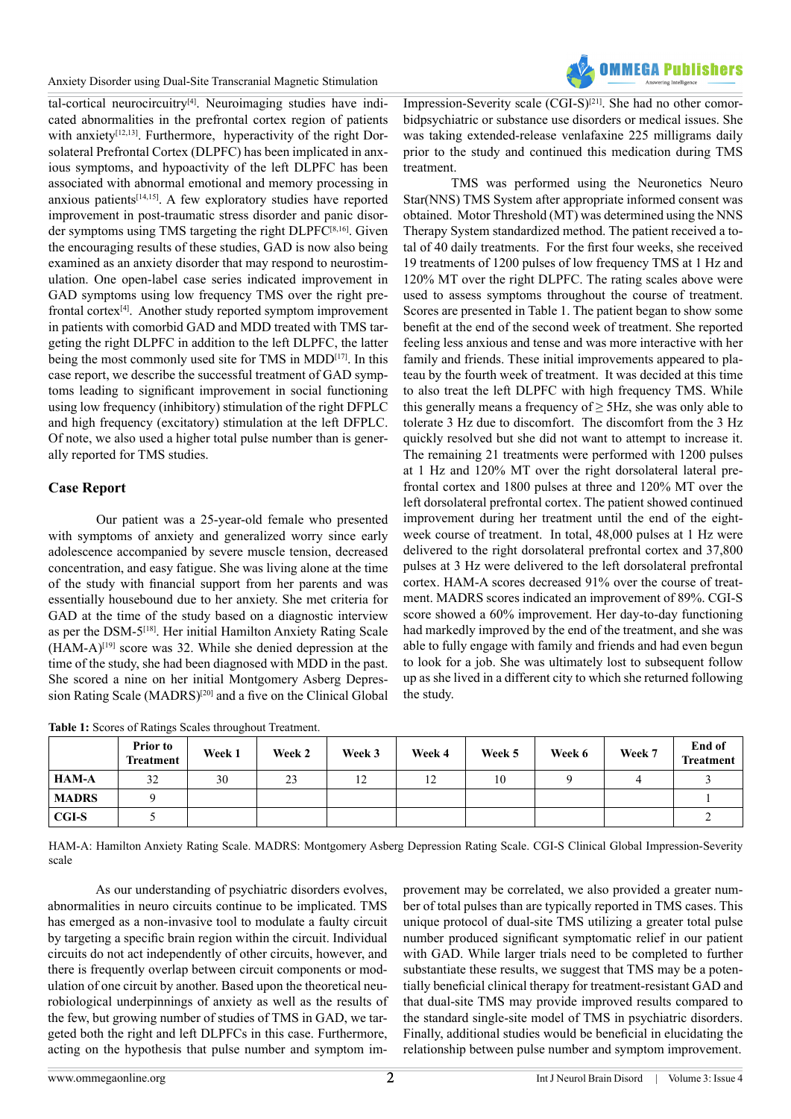Anxiety Disorder using Dual-Site Transcranial Magnetic Stimulation



tal-cortical neurocircuitry[\[4\].](#page-2-5) Neuroimaging studies have indicated abnormalities in the prefrontal cortex region of patients with anxiety<sup>[12,13]</sup>. Furthermore, hyperactivity of the right Dorsolateral Prefrontal Cortex (DLPFC) has been implicated in anxious symptoms, and hypoactivity of the left DLPFC has been associated with abnormal emotional and memory processing in anxious patients[\[14,15\].](#page-2-7) A few exploratory studies have reported improvement in post-traumatic stress disorder and panic disorder symptoms using TMS targeting the right DLPF[C\[8,16\].](#page-2-8) Given the encouraging results of these studies, GAD is now also being examined as an anxiety disorder that may respond to neurostimulation. One open-label case series indicated improvement in GAD symptoms using low frequency TMS over the right prefrontal cortex[\[4\]](#page-2-5). Another study reported symptom improvement in patients with comorbid GAD and MDD treated with TMS targeting the right DLPFC in addition to the left DLPFC, the latter being the most commonly used site for TMS in MDD<sup>[17]</sup>. In this case report, we describe the successful treatment of GAD symptoms leading to significant improvement in social functioning using low frequency (inhibitory) stimulation of the right DFPLC and high frequency (excitatory) stimulation at the left DFPLC. Of note, we also used a higher total pulse number than is generally reported for TMS studies.

# **Case Report**

Our patient was a 25-year-old female who presented with symptoms of anxiety and generalized worry since early adolescence accompanied by severe muscle tension, decreased concentration, and easy fatigue. She was living alone at the time of the study with financial support from her parents and was essentially housebound due to her anxiety. She met criteria for GAD at the time of the study based on a diagnostic interview as per the DSM-5[\[18\].](#page-2-10) Her initial Hamilton Anxiety Rating Scale  $(HAM-A)^{[19]}$  score was 32. While she denied depression at the time of the study, she had been diagnosed with MDD in the past. She scored a nine on her initial Montgomery Asberg Depression Rating Scale (MADRS)<sup>[20]</sup> and a five on the Clinical Global

**Table 1:** Scores of Ratings Scales throughout Treatment.

Impression-Severity scale (CGI-S)<sup>[21]</sup>. She had no other comorbidpsychiatric or substance use disorders or medical issues. She was taking extended-release venlafaxine 225 milligrams daily prior to the study and continued this medication during TMS treatment.

TMS was performed using the Neuronetics Neuro Star(NNS) TMS System after appropriate informed consent was obtained. Motor Threshold (MT) was determined using the NNS Therapy System standardized method. The patient received a total of 40 daily treatments. For the first four weeks, she received 19 treatments of 1200 pulses of low frequency TMS at 1 Hz and 120% MT over the right DLPFC. The rating scales above were used to assess symptoms throughout the course of treatment. Scores are presented in Table 1. The patient began to show some benefit at the end of the second week of treatment. She reported feeling less anxious and tense and was more interactive with her family and friends. These initial improvements appeared to plateau by the fourth week of treatment. It was decided at this time to also treat the left DLPFC with high frequency TMS. While this generally means a frequency of  $\geq$  5Hz, she was only able to tolerate 3 Hz due to discomfort. The discomfort from the 3 Hz quickly resolved but she did not want to attempt to increase it. The remaining 21 treatments were performed with 1200 pulses at 1 Hz and 120% MT over the right dorsolateral lateral prefrontal cortex and 1800 pulses at three and 120% MT over the left dorsolateral prefrontal cortex. The patient showed continued improvement during her treatment until the end of the eightweek course of treatment. In total, 48,000 pulses at 1 Hz were delivered to the right dorsolateral prefrontal cortex and 37,800 pulses at 3 Hz were delivered to the left dorsolateral prefrontal cortex. HAM-A scores decreased 91% over the course of treatment. MADRS scores indicated an improvement of 89%. CGI-S score showed a 60% improvement. Her day-to-day functioning had markedly improved by the end of the treatment, and she was able to fully engage with family and friends and had even begun to look for a job. She was ultimately lost to subsequent follow up as she lived in a different city to which she returned following the study.

|              | <b>Prior to</b><br><b>Treatment</b> | Week 1 | Week 2 | Week 3 | Week 4 | Week 5 | Week 6 | Week 7 | End of<br><b>Treatment</b> |
|--------------|-------------------------------------|--------|--------|--------|--------|--------|--------|--------|----------------------------|
| <b>HAM-A</b> | 32                                  | 30     | 23     | 12     |        | 10     |        |        |                            |
| <b>MADRS</b> |                                     |        |        |        |        |        |        |        |                            |
| <b>CGI-S</b> |                                     |        |        |        |        |        |        |        |                            |

HAM-A: Hamilton Anxiety Rating Scale. MADRS: Montgomery Asberg Depression Rating Scale. CGI-S Clinical Global Impression-Severity scale

As our understanding of psychiatric disorders evolves, abnormalities in neuro circuits continue to be implicated. TMS has emerged as a non-invasive tool to modulate a faulty circuit by targeting a specific brain region within the circuit. Individual circuits do not act independently of other circuits, however, and there is frequently overlap between circuit components or modulation of one circuit by another. Based upon the theoretical neurobiological underpinnings of anxiety as well as the results of the few, but growing number of studies of TMS in GAD, we targeted both the right and left DLPFCs in this case. Furthermore, acting on the hypothesis that pulse number and symptom improvement may be correlated, we also provided a greater number of total pulses than are typically reported in TMS cases. This unique protocol of dual-site TMS utilizing a greater total pulse number produced significant symptomatic relief in our patient with GAD. While larger trials need to be completed to further substantiate these results, we suggest that TMS may be a potentially beneficial clinical therapy for treatment-resistant GAD and that dual-site TMS may provide improved results compared to the standard single-site model of TMS in psychiatric disorders. Finally, additional studies would be beneficial in elucidating the relationship between pulse number and symptom improvement.